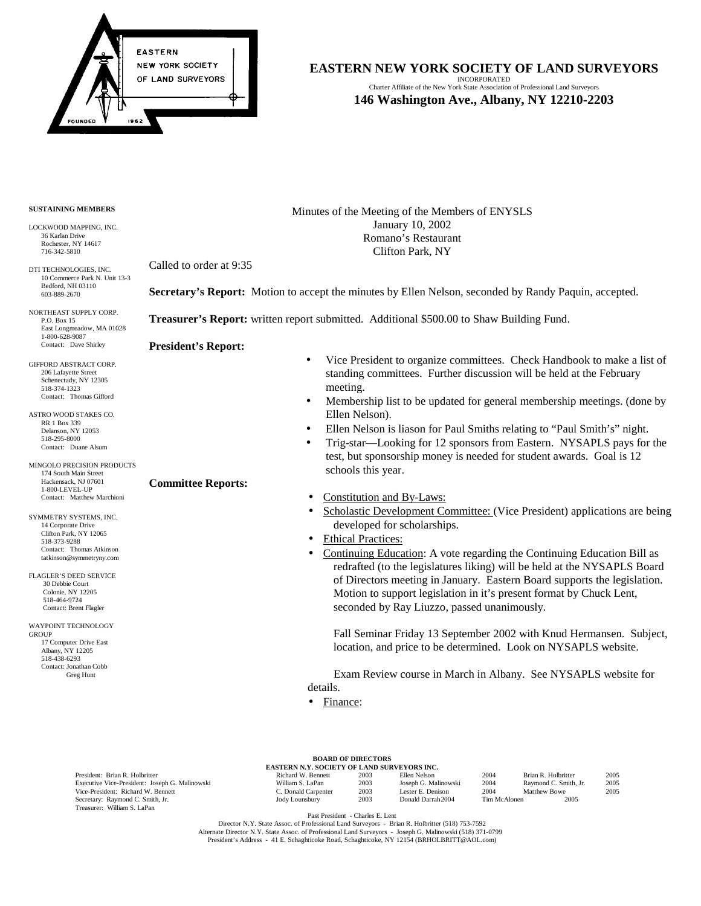

Charter Affiliate of the New York State Association of Professional Land Surveyors **146 Washington Ave., Albany, NY 12210-2203**

## **SUSTAINING MEMBERS**

LOCKWOOD MAPPING, INC. 36 Karlan Drive Rochester, NY 14617 716-342-5810

DTI TECHNOLOGIES, INC. 10 Commerce Park N. Unit 13-3 Bedford, NH 03110 603-889-2670

NORTHEAST SUPPLY CORP. P.O. Box 15 East Longmeadow, MA 01028 1-800-628-9087 Contact: Dave Shirley

GIFFORD ABSTRACT CORP. 206 Lafayette Street Schenectady, NY 12305 518-374-1323 Contact: Thomas Gifford

ASTRO WOOD STAKES CO. RR 1 Box 339 Delanson, NY 12053 518-295-8000 Contact: Duane Alsum

MINGOLO PRECISION PRODUCTS 174 South Main Street Hackensack, NJ 07601 1-800-LEVEL-UP Contact: Matthew Marchioni

3 SYMMETRY SYSTEMS, INC. 14 Corporate Drive Clifton Park, NY 12065 518-373-9288 Contact: Thomas Atkinson tatkinson@symmetryny.com

FLAGLER'S DEED SERVICE 30 Debbie Court Colonie, NY 12205 518-464-9724 Contact: Brent Flagler

WAYPOINT TECHNOLOGY **GROUP**  17 Computer Drive East Albany, NY 12205 518-438-6293 Contact: Jonathan Cobb Greg Hunt

Minutes of the Meeting of the Members of ENYSLS January 10, 2002 Romano's Restaurant Clifton Park, NY

Called to order at 9:35

**Secretary's Report:** Motion to accept the minutes by Ellen Nelson, seconded by Randy Paquin, accepted.

**Treasurer's Report:** written report submitted. Additional \$500.00 to Shaw Building Fund.

**President's Report:** 

**Committee Reports:**

- Vice President to organize committees. Check Handbook to make a list of standing committees. Further discussion will be held at the February meeting.
- Membership list to be updated for general membership meetings. (done by Ellen Nelson).
- Ellen Nelson is liason for Paul Smiths relating to "Paul Smith's" night.
- Trig-star—Looking for 12 sponsors from Eastern. NYSAPLS pays for the test, but sponsorship money is needed for student awards. Goal is 12 schools this year.
- Constitution and By-Laws:
- Scholastic Development Committee: (Vice President) applications are being developed for scholarships.
- Ethical Practices:
- Continuing Education: A vote regarding the Continuing Education Bill as redrafted (to the legislatures liking) will be held at the NYSAPLS Board of Directors meeting in January. Eastern Board supports the legislation. Motion to support legislation in it's present format by Chuck Lent, seconded by Ray Liuzzo, passed unanimously.

Fall Seminar Friday 13 September 2002 with Knud Hermansen. Subject, location, and price to be determined. Look on NYSAPLS website.

 Exam Review course in March in Albany. See NYSAPLS website for details.

• Finance:

|                                                | <b>EASTERN N.Y. SOCIETY OF LAND SURVEYORS INC.</b> |      |                      |              |                       |      |
|------------------------------------------------|----------------------------------------------------|------|----------------------|--------------|-----------------------|------|
| President: Brian R. Holbritter                 | Richard W. Bennett                                 | 2003 | Ellen Nelson         | 2004         | Brian R. Holbritter   | 2005 |
| Executive Vice-President: Joseph G. Malinowski | William S. LaPan                                   | 2003 | Joseph G. Malinowski | 2004         | Raymond C. Smith, Jr. | 2005 |
| Vice-President: Richard W. Bennett             | C. Donald Carpenter                                | 2003 | Lester E. Denison    | 2004         | Matthew Bowe          | 2005 |
| Secretary: Raymond C. Smith, Jr.               | Jody Lounsbury                                     | 2003 | Donald Darrah2004    | Tim McAlonen | 2005                  |      |
| Treasurer: William S. LaPan                    |                                                    |      |                      |              |                       |      |

Past President - Charles E. Lent

Director N.Y. State Assoc. of Professional Land Surveyors - Brian R. Holbritter (518) 753-7592 Alternate Director N.Y. State Assoc. of Professional Land Surveyors - Joseph G. Malinowski (518) 371-0799 President's Address - 41 E. Schaghticoke Road, Schaghticoke, NY 12154 (BRHOLBRITT@AOL.com)

**BOARD OF DIRECTORS**